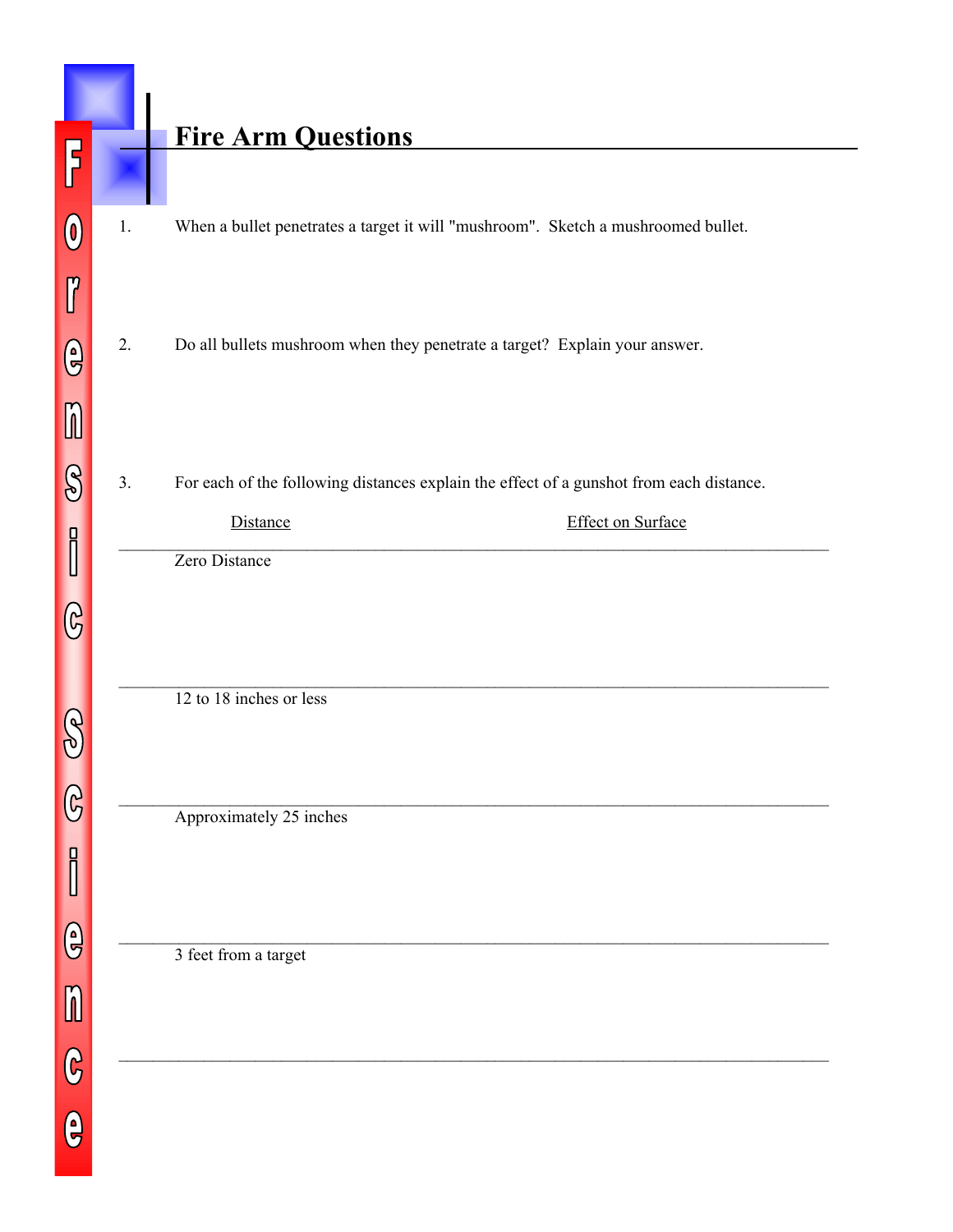## **Fire Arm Questions**

- 1. When a bullet penetrates a target it will "mushroom". Sketch a mushroomed bullet.
- 2. Do all bullets mushroom when they penetrate a target? Explain your answer.
- 3. For each of the following distances explain the effect of a gunshot from each distance.

| ustance       | <b>Effect on Surface</b> |
|---------------|--------------------------|
| Zero Distance |                          |

 $\mathcal{L}_\mathcal{L} = \{ \mathcal{L}_\mathcal{L} = \{ \mathcal{L}_\mathcal{L} = \{ \mathcal{L}_\mathcal{L} = \{ \mathcal{L}_\mathcal{L} = \{ \mathcal{L}_\mathcal{L} = \{ \mathcal{L}_\mathcal{L} = \{ \mathcal{L}_\mathcal{L} = \{ \mathcal{L}_\mathcal{L} = \{ \mathcal{L}_\mathcal{L} = \{ \mathcal{L}_\mathcal{L} = \{ \mathcal{L}_\mathcal{L} = \{ \mathcal{L}_\mathcal{L} = \{ \mathcal{L}_\mathcal{L} = \{ \mathcal{L}_\mathcal{$ 

 $\_$ 

 $\_$ 

 $\mathcal{L}_\mathcal{L} = \{ \mathcal{L}_\mathcal{L} = \{ \mathcal{L}_\mathcal{L} = \{ \mathcal{L}_\mathcal{L} = \{ \mathcal{L}_\mathcal{L} = \{ \mathcal{L}_\mathcal{L} = \{ \mathcal{L}_\mathcal{L} = \{ \mathcal{L}_\mathcal{L} = \{ \mathcal{L}_\mathcal{L} = \{ \mathcal{L}_\mathcal{L} = \{ \mathcal{L}_\mathcal{L} = \{ \mathcal{L}_\mathcal{L} = \{ \mathcal{L}_\mathcal{L} = \{ \mathcal{L}_\mathcal{L} = \{ \mathcal{L}_\mathcal{$ 

Zero Distance

12 to 18 inches or less

Approximately 25 inches

3 feet from a target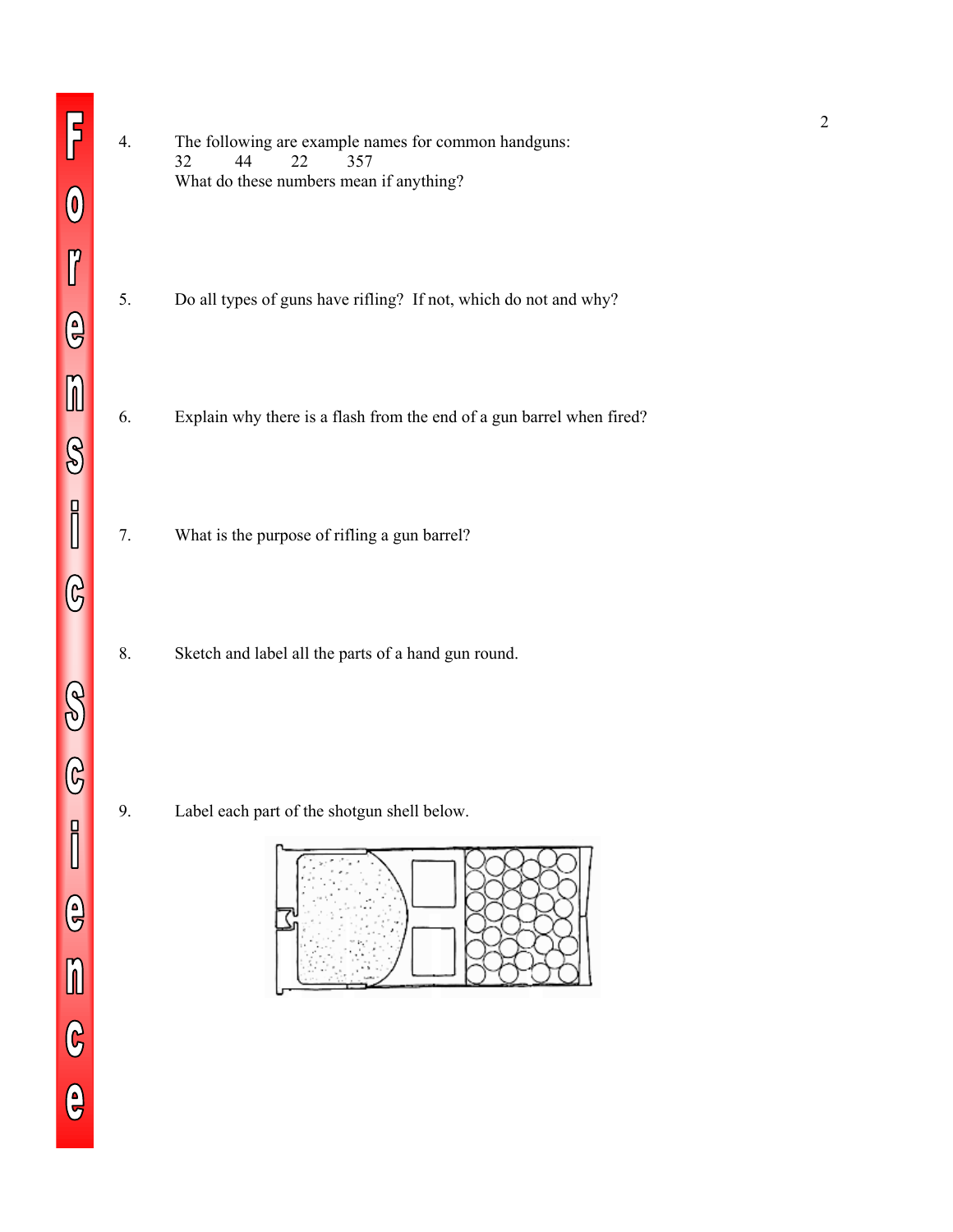4. The following are example names for common handguns: 32 44 22 357 What do these numbers mean if anything? 5. Do all types of guns have rifling? If not, which do not and why? 6. Explain why there is a flash from the end of a gun barrel when fired? 7. What is the purpose of rifling a gun barrel? 8. Sketch and label all the parts of a hand gun round. 9. Label each part of the shotgun shell below.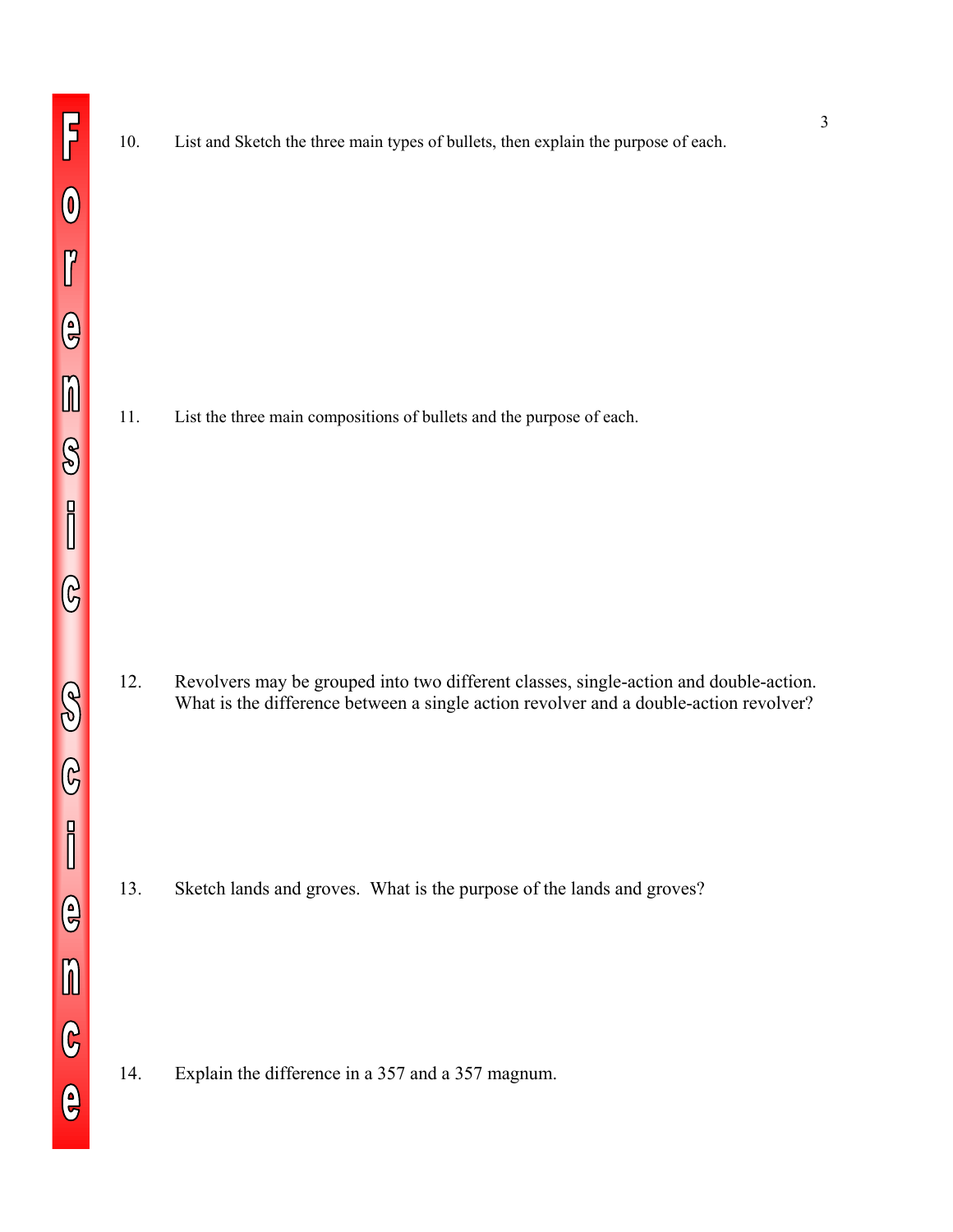10. List and Sketch the three main types of bullets, then explain the purpose of each.

11. List the three main compositions of bullets and the purpose of each.

12. Revolvers may be grouped into two different classes, single-action and double-action. What is the difference between a single action revolver and a double-action revolver?

13. Sketch lands and groves. What is the purpose of the lands and groves?

14. Explain the difference in a 357 and a 357 magnum.